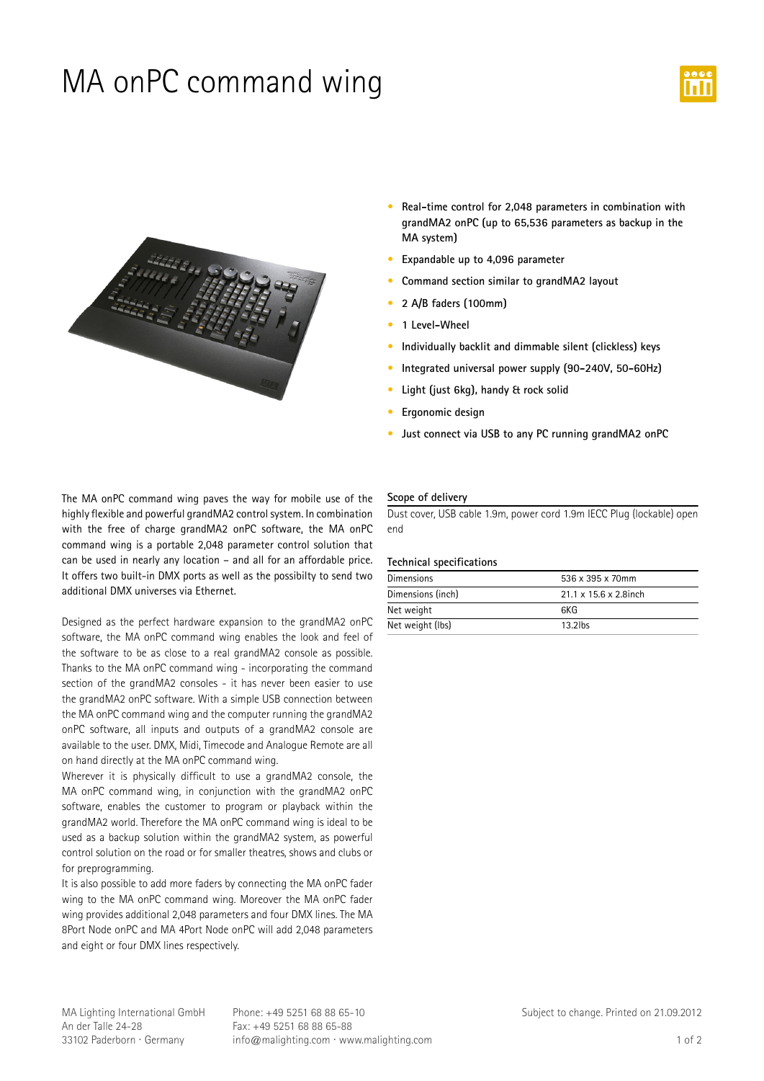## MA onPC command wing





- **•** Real-time control for 2,048 parameters in combination with **grandMA2-onPC-(up-to-65,536-parameters-as-backup-in-the MA-system)**
- **•** Expandable up to 4,096 parameter
- **•** Command section similar to grandMA2 layout
- **• 2-A/B-faders-(100mm)**
- **• 1-Level-Wheel**
- **•** Individually backlit and dimmable silent (clickless) keys
- Integrated universal power supply (90-240V, 50-60Hz)
- **•** Light (just 6kg), handy & rock solid
- **•** Ergonomic design
- **•** Just connect via USB to any PC running grandMA2 onPC

The MA onPC command wing paves the way for mobile use of the highly flexible and powerful grandMA2 control system. In combination with the free of charge grandMA2 onPC software, the MA onPC command wing is a portable 2,048 parameter control solution that can be used in nearly any location - and all for an affordable price. It offers two built-in DMX ports as well as the possibilty to send two additional DMX universes via Ethernet.

Designed as the perfect hardware expansion to the grandMA2 onPC software, the MA onPC command wing enables the look and feel of the software to be as close to a real grandMA2 console as possible. Thanks to the MA onPC command wing - incorporating the command section of the grandMA2 consoles - it has never been easier to use the grandMA2 onPC software. With a simple USB connection between the MA onPC command wing and the computer running the grandMA2 onPC software, all inputs and outputs of a grandMA2 console are available to the user. DMX, Midi, Timecode and Analogue Remote are all on hand directly at the MA onPC command wing.

Wherever it is physically difficult to use a grandMA2 console, the MA onPC command wing, in conjunction with the grandMA2 onPC software, enables the customer to program or playback within the grandMA2 world. Therefore the MA onPC command wing is ideal to be used as a backup solution within the grandMA2 system, as powerful control solution on the road or for smaller theatres, shows and clubs or for preprogramming.

It is also possible to add more faders by connecting the MA onPC fader wing to the MA onPC command wing. Moreover the MA onPC fader wing provides additional 2,048 parameters and four DMX lines. The MA 8Port Node onPC and MA 4Port Node onPC will add 2,048 parameters and eight or four DMX lines respectively.

#### **Scope-of-delivery**

Dust cover, USB cable 1.9m, power cord 1.9m IECC Plug (lockable) open end

#### **Technical-specifications**

| 536 x 395 x 70mm                   |
|------------------------------------|
| $21.1 \times 15.6 \times 2.8$ inch |
| 6KG                                |
| $13.2$ lbs                         |
|                                    |

MA Lighting International GmbH An der Talle 24-28 33102 Paderborn · Germany